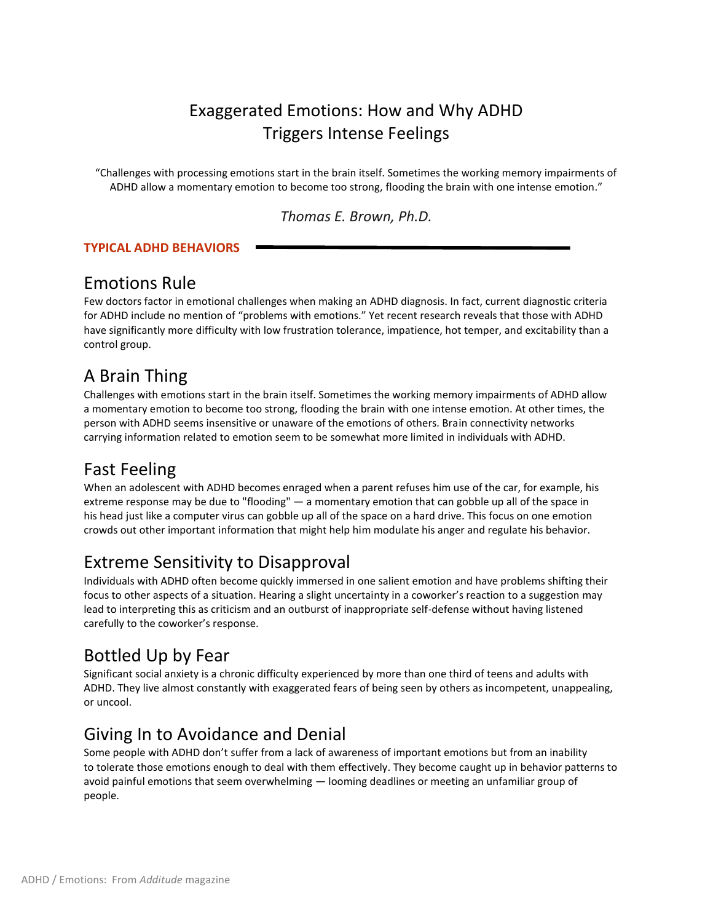# Exaggerated Emotions: How and Why ADHD Triggers Intense Feelings

"Challenges with processing emotions start in the brain itself. Sometimes the working memory impairments of ADHD allow a momentary emotion to become too strong, flooding the brain with one intense emotion."

*Thomas E. Brown, Ph.D.*

#### **TYPICAL ADHD BEHAVIORS**

#### Emotions Rule

Few doctors factor in emotional challenges when making an ADHD diagnosis. In fact, current diagnostic criteria for ADHD include no mention of "problems with emotions." Yet recent research reveals that those with ADHD have significantly more difficulty with low frustration tolerance, impatience, hot temper, and excitability than a control group.

# A Brain Thing

Challenges with emotions start in the brain itself. Sometimes the working memory impairments of ADHD allow a momentary emotion to become too strong, flooding the brain with one intense emotion. At other times, the person with ADHD seems insensitive or unaware of the emotions of others. Brain connectivity networks carrying information related to emotion seem to be somewhat more limited in individuals with ADHD.

# Fast Feeling

When an adolescent with ADHD becomes enraged when a parent refuses him use of the car, for example, his extreme response may be due to "flooding" — a momentary emotion that can gobble up all of the space in his head just like a computer virus can gobble up all of the space on a hard drive. This focus on one emotion crowds out other important information that might help him modulate his anger and regulate his behavior.

# Extreme Sensitivity to Disapproval

Individuals with ADHD often become quickly immersed in one salient emotion and have problems shifting their focus to other aspects of a situation. Hearing a slight uncertainty in a coworker's reaction to a suggestion may lead to interpreting this as criticism and an outburst of inappropriate self-defense without having listened carefully to the coworker's response.

#### Bottled Up by Fear

Significant social anxiety is a chronic difficulty experienced by more than one third of teens and adults with ADHD. They live almost constantly with exaggerated fears of being seen by others as incompetent, unappealing, or uncool.

# Giving In to Avoidance and Denial

Some people with ADHD don't suffer from a lack of awareness of important emotions but from an inability to tolerate those emotions enough to deal with them effectively. They become caught up in behavior patterns to avoid painful emotions that seem overwhelming — looming deadlines or meeting an unfamiliar group of people.